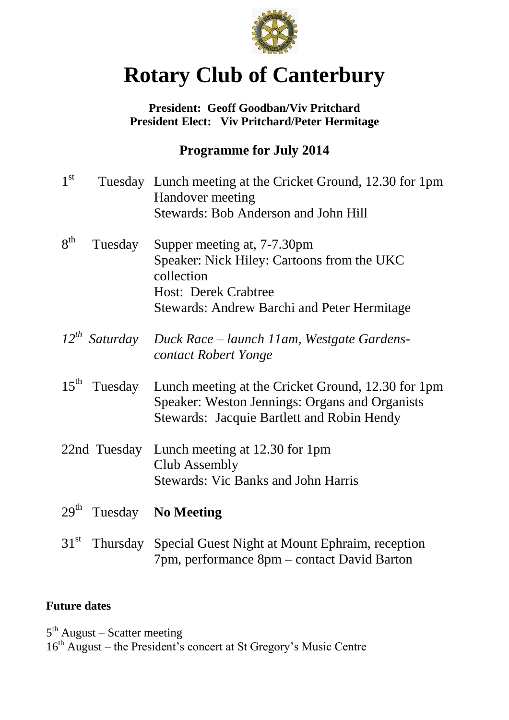

# **Rotary Club of Canterbury**

### **President: Geoff Goodban/Viv Pritchard President Elect: Viv Pritchard/Peter Hermitage**

## **Programme for July 2014**

| 1 <sup>st</sup>  |                    | Tuesday Lunch meeting at the Cricket Ground, 12.30 for 1pm<br>Handover meeting<br><b>Stewards: Bob Anderson and John Hill</b>                                                |
|------------------|--------------------|------------------------------------------------------------------------------------------------------------------------------------------------------------------------------|
| 8 <sup>th</sup>  | Tuesday            | Supper meeting at, 7-7.30pm<br>Speaker: Nick Hiley: Cartoons from the UKC<br>collection<br><b>Host: Derek Crabtree</b><br><b>Stewards: Andrew Barchi and Peter Hermitage</b> |
|                  | $12^{th}$ Saturday | Duck Race – launch 11am, Westgate Gardens-<br>contact Robert Yonge                                                                                                           |
| $15^{\text{th}}$ | Tuesday            | Lunch meeting at the Cricket Ground, 12.30 for 1pm<br>Speaker: Weston Jennings: Organs and Organists<br><b>Stewards: Jacquie Bartlett and Robin Hendy</b>                    |
|                  | 22nd Tuesday       | Lunch meeting at 12.30 for 1pm<br>Club Assembly<br><b>Stewards: Vic Banks and John Harris</b>                                                                                |
| 29 <sup>th</sup> |                    | Tuesday No Meeting                                                                                                                                                           |
| 31 <sup>st</sup> | Thursday           | Special Guest Night at Mount Ephraim, reception<br>7pm, performance 8pm – contact David Barton                                                                               |

## **Future dates**

5<sup>th</sup> August – Scatter meeting

16<sup>th</sup> August – the President's concert at St Gregory's Music Centre